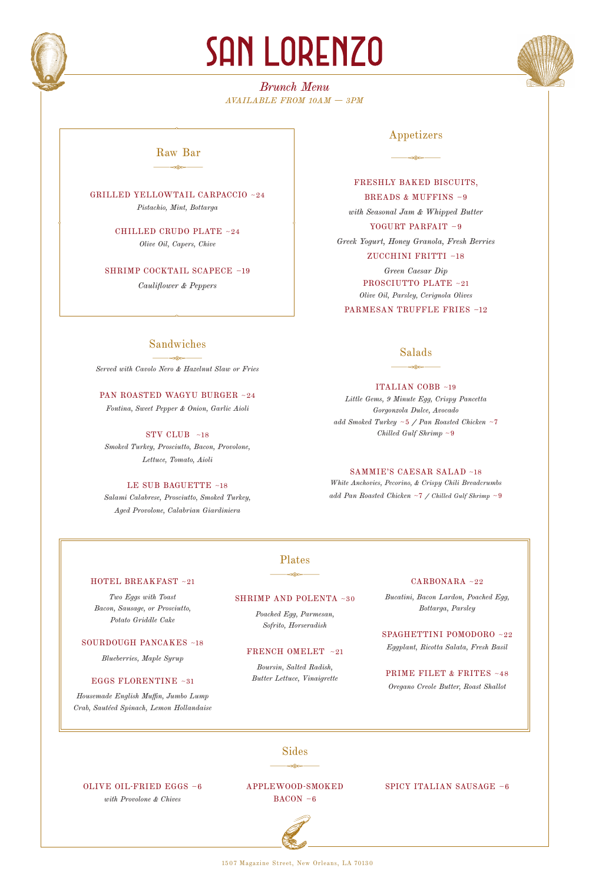

# **SAN LORENZO**

*Brunch Menu AVAILABLE FROM 10AM — 3PM*



# $\frac{1}{\sqrt{2\pi}}$ Raw Bar

GRILLED YELLOWTAIL CARPACCIO ~24 *Pistachio, Mint, Bottarga*

> CHILLED CRUDO PLATE ~24 *Olive Oil, Capers, Chive*

SHRIMP COCKTAIL SCAPECE ~19

*Cauliflower & Peppers*

*Served with Cavolo Nero & Hazelnut Slaw or Fries*

PAN ROASTED WAGYU BURGER ~24 *Fontina, Sweet Pepper & Onion, Garlic Aioli*

STV CLUB ~18 *Smoked Turkey, Prosciutto, Bacon, Provolone, Lettuce, Tomato, Aioli*

LE SUB BAGUETTE ~18 *Salami Calabrese, Prosciutto, Smoked Turkey, Aged Provolone, Calabrian Giardiniera* 

Sandwiches  $\frac{1}{\sqrt{2\pi}}$ 

# Appetizers

 $\frac{1}{\sqrt{2\pi}}$ 

FRESHLY BAKED BISCUITS, BREADS & MUFFINS ~9 *with Seasonal Jam & Whipped Butter* YOGURT PARFAIT ~9 *Greek Yogurt, Honey Granola, Fresh Berries*  ZUCCHINI FRITTI ~18 *Green Caesar Dip* PROSCIUTTO PLATE ~21 *Olive Oil, Parsley, Cerignola Olives* PARMESAN TRUFFLE FRIES ~12

# $\frac{1}{\sqrt{2\pi}}$ Salads

#### ITALIAN COBB ~19

*Little Gems, 9 Minute Egg, Crispy Pancetta Gorgonzola Dulce, Avocado add Smoked Turkey* ~5 */ Pan Roasted Chicken* ~7 *Chilled Gulf Shrimp* ~9

# SAMMIE'S CAESAR SALAD ~18

*White Anchovies, Pecorino, & Crispy Chili Breadcrumbs add Pan Roasted Chicken* ~7 */ Chilled Gulf Shrimp* ~9

# $\frac{1}{\sqrt{2\pi}}\frac{1}{\sqrt{2\pi}}\frac{1}{\sqrt{2\pi}}\frac{1}{\sqrt{2\pi}}\frac{1}{\sqrt{2\pi}}\frac{1}{\sqrt{2\pi}}\frac{1}{\sqrt{2\pi}}\frac{1}{\sqrt{2\pi}}\frac{1}{\sqrt{2\pi}}\frac{1}{\sqrt{2\pi}}\frac{1}{\sqrt{2\pi}}\frac{1}{\sqrt{2\pi}}\frac{1}{\sqrt{2\pi}}\frac{1}{\sqrt{2\pi}}\frac{1}{\sqrt{2\pi}}\frac{1}{\sqrt{2\pi}}\frac{1}{\sqrt{2\pi}}\frac{1}{\sqrt{2\pi}}\frac{1$ Plates

#### HOTEL BREAKFAST ~21

*Two Eggs with Toast Bacon, Sausage, or Prosciutto, Potato Griddle Cake*

#### SOURDOUGH PANCAKES ~18

*Blueberries, Maple Syrup*

#### EGGS FLORENTINE ~31

*Housemade English Muffin, Jumbo Lump Crab, Sautéed Spinach, Lemon Hollandaise*

#### SHRIMP AND POLENTA ~30

*Poached Egg, Parmesan, Sofrito, Horseradish*

#### FRENCH OMELET ~21

*Boursin, Salted Radish, Butter Lettuce, Vinaigrette*

#### CARBONARA ~22

*Bucatini, Bacon Lardon, Poached Egg, Bottarga, Parsley*

SPAGHETTINI POMODORO ~22 *Eggplant, Ricotta Salata, Fresh Basil*

PRIME FILET & FRITES ~48 *Oregano Creole Butter, Roast Shallot*

# $\frac{1}{\sqrt{2\pi}}\frac{1}{\sqrt{2\pi}}\frac{1}{\sqrt{2\pi}}\frac{1}{\sqrt{2\pi}}\frac{1}{\sqrt{2\pi}}\frac{1}{\sqrt{2\pi}}\frac{1}{\sqrt{2\pi}}\frac{1}{\sqrt{2\pi}}\frac{1}{\sqrt{2\pi}}\frac{1}{\sqrt{2\pi}}\frac{1}{\sqrt{2\pi}}\frac{1}{\sqrt{2\pi}}\frac{1}{\sqrt{2\pi}}\frac{1}{\sqrt{2\pi}}\frac{1}{\sqrt{2\pi}}\frac{1}{\sqrt{2\pi}}\frac{1}{\sqrt{2\pi}}\frac{1}{\sqrt{2\pi}}\frac{1$ Sides

OLIVE OIL-FRIED EGGS ~6 *with Provolone & Chives*

#### APPLEWOOD-SMOKED  $BACON - 6$

#### SPICY ITALIAN SAUSAGE ~6



1507 Magazine Street, New Orleans, LA 70130